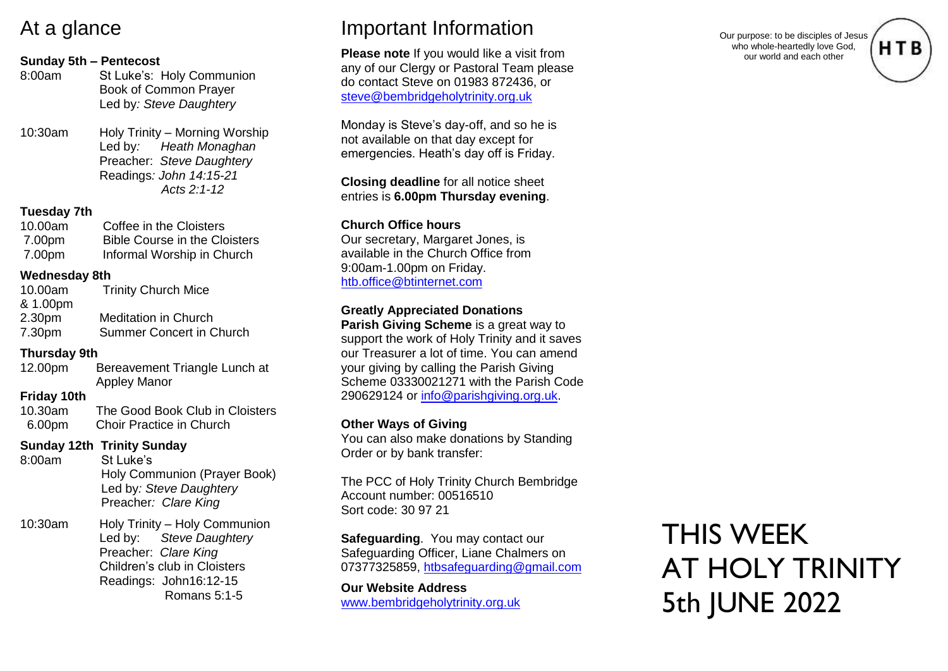# At a glance

### **Sunday 5th – Pentecost**

| 8:00am  | St Luke's: Holy Communion<br><b>Book of Common Prayer</b><br>Led by: Steve Daughtery |
|---------|--------------------------------------------------------------------------------------|
| 10:30am | Holy Trinity - Morning Worship                                                       |

 Led by*: Heath Monaghan* Preacher: *Steve Daughtery* Readings*: John 14:15-21 Acts 2:1-12*

### **Tuesday 7th**

| 10.00am | Coffee in the Cloisters              |
|---------|--------------------------------------|
| 7.00pm  | <b>Bible Course in the Cloisters</b> |
| 7.00pm  | Informal Worship in Church           |

### **Wednesday 8th**

| 10.00am            | <b>Trinity Church Mice</b>  |
|--------------------|-----------------------------|
| & 1.00pm           |                             |
| 2.30 <sub>pm</sub> | <b>Meditation in Church</b> |
| 7.30pm             | Summer Concert in Church    |

### **Thursday 9th**

| 12.00pm | Bereavement Triangle Lunch at |
|---------|-------------------------------|
|         | <b>Appley Manor</b>           |

### **Friday 10th**

| 10.30am | The Good Book Club in Cloisters |
|---------|---------------------------------|
| 6.00pm  | Choir Practice in Church        |

## **Sunday 12th Trinity Sunday**

| 8:00am  | St Luke's                     |
|---------|-------------------------------|
|         | Holy Communion (Prayer Book)  |
|         | Led by: Steve Daughtery       |
|         | Preacher: Clare King          |
| 10:30am | Holy Trinity - Holy Communion |

 Led by: *Steve Daughtery* Preacher: *Clare King* **Children's club in Cloisters**  Readings: John16:12-15 Romans 5:1-5

# Important Information

**Please note** If you would like a visit from any of our Clergy or Pastoral Team please do contact Steve on 01983 872436, or [steve@bembridgeholytrinity.org.uk](mailto:steve@bembridgeholytrinity.org.uk)

Monday is Steve's day-off, and so he is not available on that day except for emergencies. Heath's day off is Friday.

**Closing deadline** for all notice sheet entries is **6.00pm Thursday evening**.

## **Church Office hours**

Our secretary, Margaret Jones, is available in the Church Office from 9:00am-1.00pm on Friday. [htb.office@btinternet.com](mailto:htb.office@btinternet.com)

## **Greatly Appreciated Donations**

**Parish Giving Scheme** is a great way to support the work of Holy Trinity and it saves our Treasurer a lot of time. You can amend your giving by calling the Parish Giving Scheme 03330021271 with the Parish Code 290629124 or [info@parishgiving.org.uk.](mailto:info@parishgiving.org.uk)

## **Other Ways of Giving**

You can also make donations by Standing Order or by bank transfer:

The PCC of Holy Trinity Church Bembridge Account number: 00516510 Sort code: 30 97 21

**Safeguarding**. You may contact our Safeguarding Officer, Liane Chalmers on 07377325859, [htbsafeguarding@gmail.com](mailto:htbsafeguarding@gmail.com)

**Our Website Address** [www.bembridgeholytrinity.org.uk](http://www.bembridgeholytrinity.org.uk/)

THIS WEEK AT HOLY TRINITY 5th JUNE 2022

Our purpose: to be disciples of Jesus who whole-heartedly love God, our world and each other